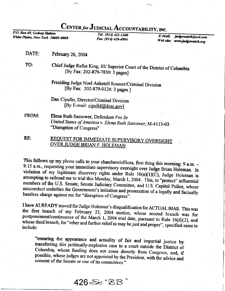## CENTER for JUDICIAL ACCOUNTABILITY, INC.<br>
P.O. Box 69, Gedney Station<br>
White Plains, New York 10605-0069<br>
Fax (914) 428-4994<br>
Web site:

White Plains, New York 10605-0069

judgewatch@aol.com Web site: www.judgewatch.org

DATE: February 26, 2004

TO:

Chief Judge Rufus King, III/ Superior Court of the District of Columbia [By Fax: 202-879-7830: 3 pages]

Presiding Judge Noel Anketell Kramer/Criminal Division [By Fax: 202-879-0124: 3 pages ]

Dan Cipullo, Director/Criminal Division [By E-mail: cipulld@dcsc.gov]

FROM: Elena Ruth Sassower, Defendant Pro Se United States of America v. Elena Ruth Sassower, M-4113-03 "Disruption of Congress"

RE:

## **REQUEST FOR IMMEDIATE SUPERVISORY OVERSIGHT OVER JUDGE BRIAN F. HOLEMAN**

This follows up my phone calls to your chambers/offices, first thing this morning: 9 a.m. - 9:15 a.m., requesting your immediate supervisory oversight over Judge Brian Holeman. In violation of my legitimate discovery rights under Rule  $16(a)(1)(C)$ , Judge Holeman is<br>attempting to railroad me to trial this Monday, March 1, 2004. This, to "protect" influential<br>members of the U.S. Senate, Senate Judiciar misconduct members of the U.S. Senate, Senate Judiciary Committee, and U.S. Capitol Police, whose<br>misconduct underlies the Government's initiation and prosecution of a legally and factually<br>baseless charge against me for "disruption

I have ALREADY moved for Judge Holeman's disqualification for ACTUAL BIAS. This was the first branch of my February 23, 2004 motion, whose second branch was for whose third branch, for "other and further relief as may be just and proper", specified same to include: postponement/continuance of the March 1, 2004 trial date, pursuant to Rule 16(d)(2), and include:

"ensuring the appearance and actuality of fair and impartial justice by transferring this politically-explosive case to a court outside the District of Columbia, whose funding does not come directly from Congress, and, if

426*E* 'BB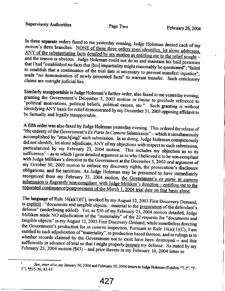## Page Two

In three separate orders faxed to me yesterday evening, Judge Holeman denied each of my motion's three branches. NONE of these three orders even identifies, let alone addresses, ANY of the substantiating facts detailed by my motion as entitling me to the relief sought and the reason is obvious. Judge Holeman could not do so and maintain his bald pretenses that I had "established no facts that [his] impartiality might reasonably be questioned"; "failed to establish that a continuance of the trial date is necessary to prevent manifest injustice", made "no demonstration of newly presented facts" to warrant transfer. Such conclusory claims are outright judicial lies.

Similarly insupportable is Judge Holeman's further order, also faxed to me yesterday evening, granting the Government's December 3, 2003 motion in limine to preclude reference to "political motivations, political beliefs, political causes, etc.". Such granting is without identifying ANY basis for relief demonstrated by my December 31, 2003 opposing affidavit to be factually and legally insupportable.

A fifth order was also faxed by Judge Holeman yesterday evening. This ordered the release of "the entirety of the Government's  $\overline{Ex}$  Parte In Camera Submission" – which it simultaneously accomplished by "attach[ing]' such submission. In so doing, Judge Holeman conspicuously did not identify, let alone adjudicate, ANY of my objections with respect to such submission, particularized by my February 23, 2004 motion. This includes my objection as to its sufficiency<sup>1</sup> – as to which I gave detailed argument as to why I believed it to be non-compliant with Judge Milliken's directive to the Government at the December 3, 2003 oral argument of my October 30, 2003 motion to enforce my discovery rights, the prosecution's disclosure obligations, and for sanctions. As Judge Holeman may be presumed to have immediately recognized from my February 23, 2004 motion, the Government's ex parte in camera submission is flagrantly non-compliant with Judge Milliken's directive – entitling me to the requested continuance/postponement of the March 1, 2004 trial date on that basis alone.

The language of Rule 16(a)(1)(C), invoked by my August 12, 2003 First Discovery Demand, is explicit: "documents and tangible objects...material to the preparation of the defendant's defense" (underlining added). Yet, as ¶30 of my February 23, 2004 motion detailed, Judge Milliken made NO adjudication of the "materiality" of the 22 requests for "documents and tangible objects" in my August 12, 2003 First Discovery Demand, while nonetheless directing the Government's production for in camera inspection. Pursuant to Rule  $16(a)(1)(C)$ , I am entitled to such adjudication of "materiality", to production based thereon, and to rulings as to whether records claimed by the Government not to exist have been destroyed -- and this sufficiently in advance of trial so that I might properly prepare my defense. As stated by my February 23, 2004 motion ( $\square$ 43) – and prior thereto in my February 10, 2004 letter to

 $\mathbf{1}$ See, inter alia, my January 30, 2004 and February 10, 2004 letters to Judge Holeman (Exhibits "T-2", "T-3"), [[35-36, 42-45.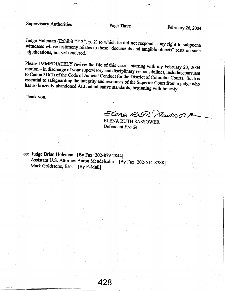Supervisory Authorities Page Three February 26, 2004

Judge Holeman (Exhibit "T-3", p. 2) to which he did not respond -- my right to subpoena witnesses whose testimony relates to these "documents and tangible objects" rests on such adjudications, not yet rendered. witnesses whose testimony relates to these "documents and tangible objects" rests on such

Please IMMEDIATELY review the file of this case - starting with my February 23, 2004 I lease ININEDIATELY review the file of this case – starting with my February 23, 2004<br>motion – in discharge of your supervisory and disciplinary responsibilities, including pursuant<br>to Canon 3D(1) of the Code of Judicial essential to safeguarding the integrity and resources of the Superior Court from a judge who has so brazenly abandoned ALL adjudicative standards, beginning with honesty. to Canon 3D(1) of the Code of Judicial Conduct for the District of Columbia Courts. Such is has so brazenly abandoned ALL adjudicative standards, beginning with honesty.

Thank you.

Elena Rus Nadsone

ELENA RUTH SASSOWER Defendant Pro Se

cc: Judge Brian Holeman [By Fax: 202-879-2844] Assistant U.S. Attorney Aaron Mendelsohn [By Fax: 202-514-8788]<br>Mark Goldstone, Esq. [By E-Mail]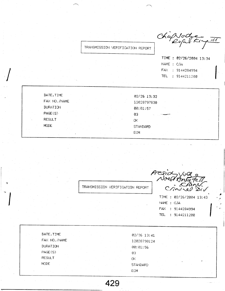TRANSMISSION VERIFICATION REPORT

Chapsoche TI

TIME: 02/26/2004 13:34 NAME : CJA FAX : 9144284994 TEL : 9144211200

| DATE, TIME    | 02/26 13:32     |
|---------------|-----------------|
| FAX NO. /NAME | 12028797830     |
| DURATION      | 00:01:57        |
| PAGE(S)       | 03              |
| <b>RESULT</b> | OK.             |
| <b>MODE</b>   | <b>STANDARD</b> |
|               | ECM             |

Presid vous TRANSMISSION VERIFICATION REPORT

TIME: 02/26/2004 13:43 NAME : CJA FAX : 9144284994 TEL : 9144211200

| DATE, TIME      | $02/26$ 13:41   |
|-----------------|-----------------|
| FAX NO. /NAME   | 12028790124     |
| <b>DURATION</b> | 00:01:56        |
| PAGE(S)         | 03              |
| <b>RESULT</b>   | ΟĶ<br>u         |
| <b>MODE</b>     | <b>STANDARD</b> |
|                 | <b>ECM</b>      |

429